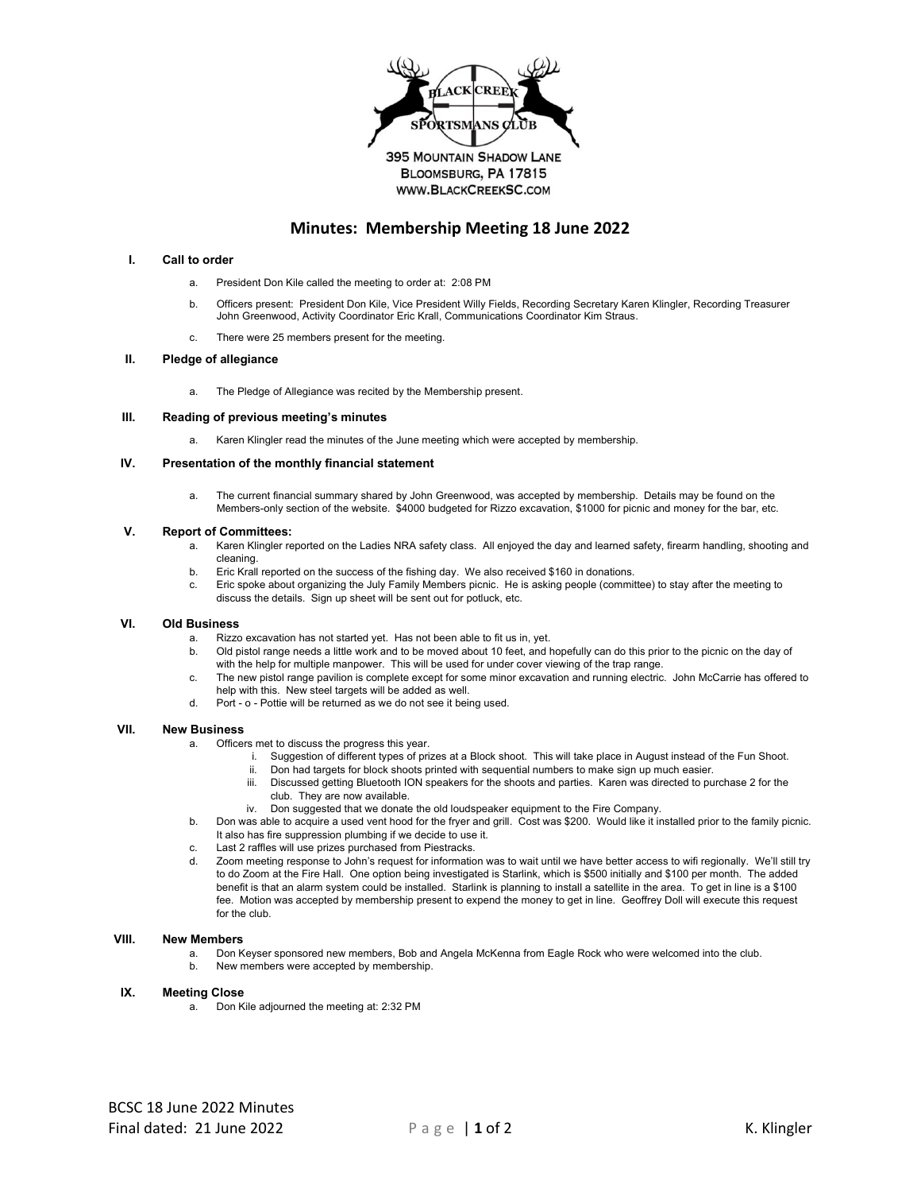

# **Minutes: Membership Meeting 18 June 2022**

# **I. Call to order**

- a. President Don Kile called the meeting to order at: 2:08 PM
- b. Officers present: President Don Kile, Vice President Willy Fields, Recording Secretary Karen Klingler, Recording Treasurer John Greenwood, Activity Coordinator Eric Krall, Communications Coordinator Kim Straus.
- c. There were 25 members present for the meeting.

# **II. Pledge of allegiance**

a. The Pledge of Allegiance was recited by the Membership present.

#### **III. Reading of previous meeting's minutes**

a. Karen Klingler read the minutes of the June meeting which were accepted by membership.

# **IV. Presentation of the monthly financial statement**

a. The current financial summary shared by John Greenwood, was accepted by membership. Details may be found on the Members-only section of the website. \$4000 budgeted for Rizzo excavation, \$1000 for picnic and money for the bar, etc.

#### **V. Report of Committees:**

- a. Karen Klingler reported on the Ladies NRA safety class. All enjoyed the day and learned safety, firearm handling, shooting and cleaning.
- b. Eric Krall reported on the success of the fishing day. We also received \$160 in donations.
- c. Eric spoke about organizing the July Family Members picnic. He is asking people (committee) to stay after the meeting to discuss the details. Sign up sheet will be sent out for potluck, etc.

#### **VI. Old Business**

- a. Rizzo excavation has not started yet. Has not been able to fit us in, yet.
- b. Old pistol range needs a little work and to be moved about 10 feet, and hopefully can do this prior to the picnic on the day of with the help for multiple manpower. This will be used for under cover viewing of the trap range.
- c. The new pistol range pavilion is complete except for some minor excavation and running electric. John McCarrie has offered to help with this. New steel targets will be added as well.
- d. Port o Pottie will be returned as we do not see it being used.

# **VII. New Business**

- a. Officers met to discuss the progress this year.
	- i. Suggestion of different types of prizes at a Block shoot. This will take place in August instead of the Fun Shoot.
		- ii. Don had targets for block shoots printed with sequential numbers to make sign up much easier.
		- iii. Discussed getting Bluetooth ION speakers for the shoots and parties. Karen was directed to purchase 2 for the club. They are now available.
	- iv. Don suggested that we donate the old loudspeaker equipment to the Fire Company.
- b. Don was able to acquire a used vent hood for the fryer and grill. Cost was \$200. Would like it installed prior to the family picnic. It also has fire suppression plumbing if we decide to use it.
- c. Last 2 raffles will use prizes purchased from Piestracks.
- d. Zoom meeting response to John's request for information was to wait until we have better access to wifi regionally. We'll still try to do Zoom at the Fire Hall. One option being investigated is Starlink, which is \$500 initially and \$100 per month. The added benefit is that an alarm system could be installed. Starlink is planning to install a satellite in the area. To get in line is a \$100 fee. Motion was accepted by membership present to expend the money to get in line. Geoffrey Doll will execute this request for the club.

### **VIII. New Members**

a. Don Keyser sponsored new members, Bob and Angela McKenna from Eagle Rock who were welcomed into the club. b. New members were accepted by membership.

# **IX. Meeting Close**

a. Don Kile adjourned the meeting at: 2:32 PM